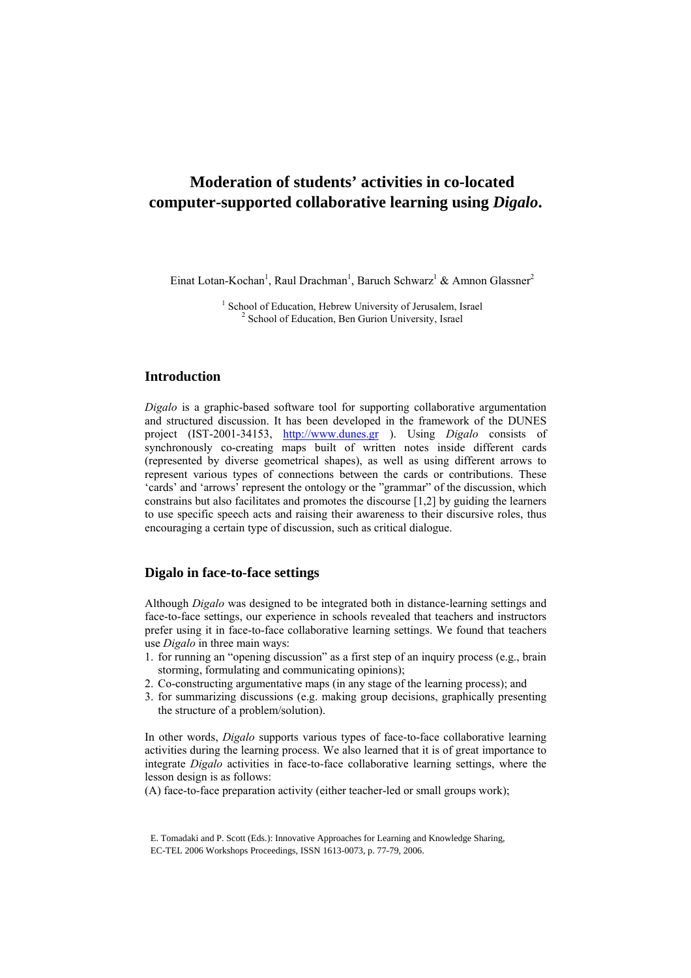# **Moderation of students' activities in co-located computer-supported collaborative learning using** *Digalo***.**

Einat Lotan-Kochan<sup>1</sup>, Raul Drachman<sup>1</sup>, Baruch Schwarz<sup>1</sup> & Amnon Glassner<sup>2</sup>

<sup>1</sup> School of Education, Hebrew University of Jerusalem, Israel  $\frac{2 \text{ Sobel of Education, Bon Gurion University, Israel}}{2 \text{ Sobel of Education, Bon Gurion University, Israel}}$  $2$  School of Education, Ben Gurion University, Israel

## **Introduction**

*Digalo* is a graphic-based software tool for supporting collaborative argumentation and structured discussion. It has been developed in the framework of the DUNES project (IST-2001-34153, [http://www.dunes.gr](http://www.dunes.gr/) ). Using *Digalo* consists of synchronously co-creating maps built of written notes inside different cards (represented by diverse geometrical shapes), as well as using different arrows to represent various types of connections between the cards or contributions. These 'cards' and 'arrows' represent the ontology or the "grammar" of the discussion, which constrains but also facilitates and promotes the discourse [1,2] by guiding the learners to use specific speech acts and raising their awareness to their discursive roles, thus encouraging a certain type of discussion, such as critical dialogue.

### **Digalo in face-to-face settings**

Although *Digalo* was designed to be integrated both in distance-learning settings and face-to-face settings, our experience in schools revealed that teachers and instructors prefer using it in face-to-face collaborative learning settings. We found that teachers use *Digalo* in three main ways:

- 1. for running an "opening discussion" as a first step of an inquiry process (e.g., brain storming, formulating and communicating opinions);
- 2. Co-constructing argumentative maps (in any stage of the learning process); and
- 3. for summarizing discussions (e.g. making group decisions, graphically presenting the structure of a problem/solution).

In other words, *Digalo* supports various types of face-to-face collaborative learning activities during the learning process. We also learned that it is of great importance to integrate *Digalo* activities in face-to-face collaborative learning settings, where the lesson design is as follows:

(A) face-to-face preparation activity (either teacher-led or small groups work);

E. Tomadaki and P. Scott (Eds.): Innovative Approaches for Learning and Knowledge Sharing, EC-TEL 2006 Workshops Proceedings, ISSN 1613-0073, p. 77-79, 2006.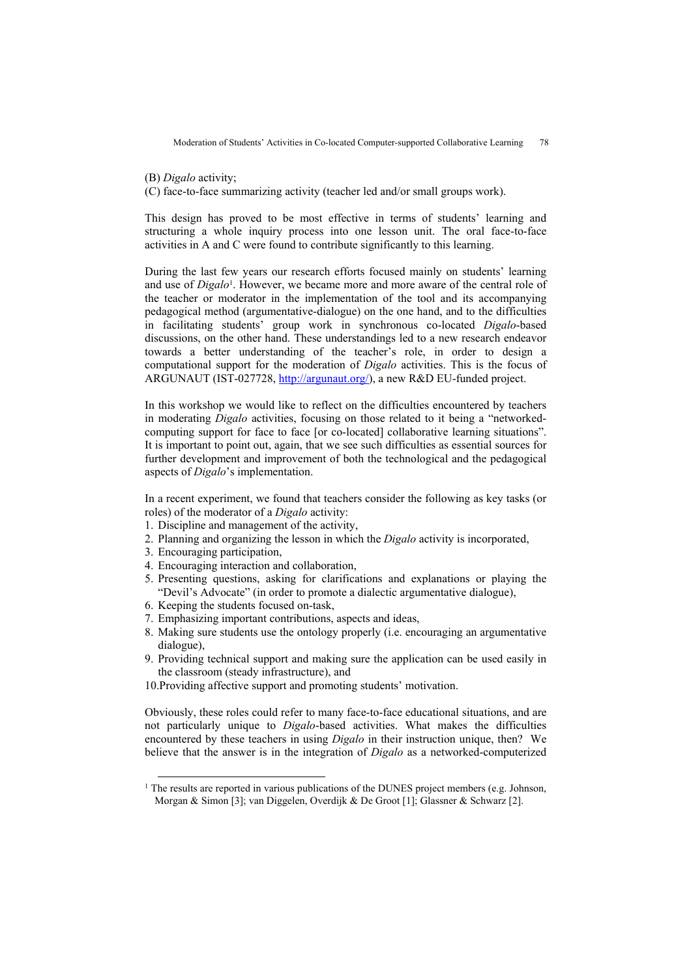(B) *Digalo* activity;

(C) face-to-face summarizing activity (teacher led and/or small groups work).

This design has proved to be most effective in terms of students' learning and structuring a whole inquiry process into one lesson unit. The oral face-to-face activities in A and C were found to contribute significantly to this learning.

During the last few years our research efforts focused mainly on students' learning and use of *Digalo*<sup>1</sup>. However, we became more and more aware of the central role of the teacher or moderator in the implementation of the tool and its accompanying pedagogical method (argumentative-dialogue) on the one hand, and to the difficulties in facilitating students' group work in synchronous co-located *Digalo*-based discussions, on the other hand. These understandings led to a new research endeavor towards a better understanding of the teacher's role, in order to design a computational support for the moderation of *Digalo* activities. This is the focus of ARGUNAUT (IST-027728,<http://argunaut.org/>), a new R&D EU-funded project.

In this workshop we would like to reflect on the difficulties encountered by teachers in moderating *Digalo* activities, focusing on those related to it being a "networkedcomputing support for face to face [or co-located] collaborative learning situations". It is important to point out, again, that we see such difficulties as essential sources for further development and improvement of both the technological and the pedagogical aspects of *Digalo*'s implementation.

In a recent experiment, we found that teachers consider the following as key tasks (or roles) of the moderator of a *Digalo* activity:

- 1. Discipline and management of the activity,
- 2. Planning and organizing the lesson in which the *Digalo* activity is incorporated,
- 3. Encouraging participation,
- 4. Encouraging interaction and collaboration,
- 5. Presenting questions, asking for clarifications and explanations or playing the "Devil's Advocate" (in order to promote a dialectic argumentative dialogue),
- 6. Keeping the students focused on-task,
- 7. Emphasizing important contributions, aspects and ideas,
- 8. Making sure students use the ontology properly (i.e. encouraging an argumentative dialogue),
- 9. Providing technical support and making sure the application can be used easily in the classroom (steady infrastructure), and
- 10.Providing affective support and promoting students' motivation.

Obviously, these roles could refer to many face-to-face educational situations, and are not particularly unique to *Digalo*-based activities. What makes the difficulties encountered by these teachers in using *Digalo* in their instruction unique, then? We believe that the answer is in the integration of *Digalo* as a networked-computerized

<span id="page-1-0"></span><sup>&</sup>lt;sup>1</sup> The results are reported in various publications of the DUNES project members (e.g. Johnson, Morgan & Simon [3]; van Diggelen, Overdijk & De Groot [1]; Glassner & Schwarz [2].